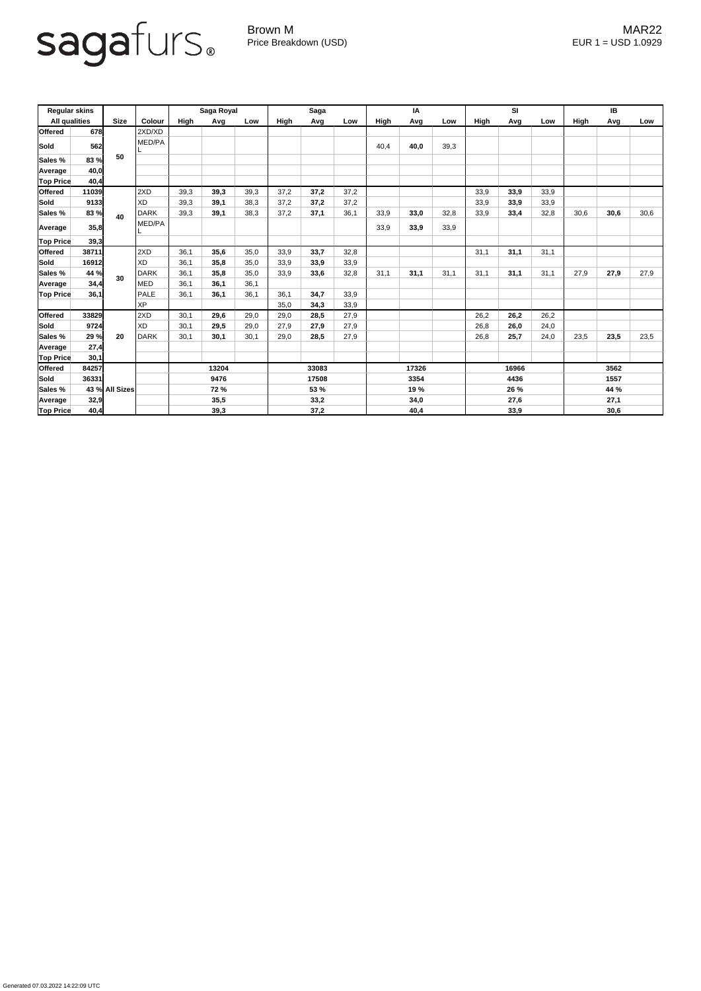## sagafurs.

Generated 07.03.2022 14:22:09 UTC

Brown M MAR22 Price Breakdown (USD) error and the USD 1.0929

| <b>Regular skins</b><br><b>All qualities</b> |       | <b>Size</b>    | Colour    | Saga Royal  |      |       | <b>Saga</b> |      |       | IA          |       |      | SI          |      |      | IB          |      |      |
|----------------------------------------------|-------|----------------|-----------|-------------|------|-------|-------------|------|-------|-------------|-------|------|-------------|------|------|-------------|------|------|
|                                              |       |                |           | High        | Avg  | Low   | High        | Avg  | Low   | <b>High</b> | Avg   | Low  | <b>High</b> | Avg  | Low  | <b>High</b> | Avg  | Low  |
| <b>Offered</b>                               | 678   |                | 2XD/XD    |             |      |       |             |      |       |             |       |      |             |      |      |             |      |      |
| Sold                                         | 562   |                | MED/PA    |             |      |       |             |      |       | 40,4        | 40,0  | 39,3 |             |      |      |             |      |      |
| Sales %                                      | 83 %  | 50             |           |             |      |       |             |      |       |             |       |      |             |      |      |             |      |      |
| Average                                      | 40,0  |                |           |             |      |       |             |      |       |             |       |      |             |      |      |             |      |      |
| <b>Top Price</b>                             | 40,4  |                |           |             |      |       |             |      |       |             |       |      |             |      |      |             |      |      |
| <b>Offered</b>                               | 11039 | 40             | 2XD       | 39,3        | 39,3 | 39,3  | 37,2        | 37,2 | 37,2  |             |       |      | 33,9        | 33,9 | 33,9 |             |      |      |
| Sold                                         | 9133  |                | <b>XD</b> | 39,3        | 39,1 | 38,3  | 37,2        | 37,2 | 37,2  |             |       |      | 33,9        | 33,9 | 33,9 |             |      |      |
| Sales %                                      | 83 %  |                | DARK      | 39,3        | 39,1 | 38,3  | 37,2        | 37,1 | 36,1  | 33,9        | 33,0  | 32,8 | 33,9        | 33,4 | 32,8 | 30,6        | 30,6 | 30,6 |
| Average                                      | 35,8  |                | MED/PA    |             |      |       |             |      |       | 33,9        | 33,9  | 33,9 |             |      |      |             |      |      |
| <b>Top Price</b>                             | 39,3  |                |           |             |      |       |             |      |       |             |       |      |             |      |      |             |      |      |
| <b>Offered</b>                               | 38711 |                | 2XD       | 36,1        | 35,6 | 35,0  | 33,9        | 33,7 | 32,8  |             |       |      | 31,1        | 31,1 | 31,1 |             |      |      |
| Sold                                         | 16912 |                | XD        | 36,1        | 35,8 | 35,0  | 33,9        | 33,9 | 33,9  |             |       |      |             |      |      |             |      |      |
| Sales %                                      | 44 %  | 30             | DARK      | 36,1        | 35,8 | 35,0  | 33,9        | 33,6 | 32,8  | 31,1        | 31,1  | 31,1 | 31,1        | 31,1 | 31,1 | 27,9        | 27,9 | 27,9 |
| Average                                      | 34,4  |                | MED       | 36,1        | 36,1 | 36,1  |             |      |       |             |       |      |             |      |      |             |      |      |
| <b>Top Price</b>                             | 36,1  |                | PALE      | 36,1        | 36,1 | 36,1  | 36,1        | 34,7 | 33,9  |             |       |      |             |      |      |             |      |      |
|                                              |       |                | <b>XP</b> |             |      |       | 35,0        | 34,3 | 33,9  |             |       |      |             |      |      |             |      |      |
| <b>Offered</b>                               | 33829 |                | 2XD       | 30,1        | 29,6 | 29,0  | 29,0        | 28,5 | 27,9  |             |       |      | 26,2        | 26,2 | 26,2 |             |      |      |
| Sold                                         | 9724  |                | XD        | 30,1        | 29,5 | 29,0  | 27,9        | 27,9 | 27,9  |             |       |      | 26,8        | 26,0 | 24,0 |             |      |      |
| Sales %                                      | 29 %  | 20             | DARK      | 30,1        | 30,1 | 30,1  | 29,0        | 28,5 | 27,9  |             |       |      | 26,8        | 25,7 | 24,0 | 23,5        | 23,5 | 23,5 |
| Average                                      | 27,4  |                |           |             |      |       |             |      |       |             |       |      |             |      |      |             |      |      |
| <b>Top Price</b>                             | 30,1  |                |           |             |      |       |             |      |       |             |       |      |             |      |      |             |      |      |
| Offered                                      | 84257 |                |           | 13204       |      |       | 33083       |      | 17326 |             | 16966 |      |             | 3562 |      |             |      |      |
| Sold                                         | 36331 |                |           | 9476        |      | 17508 |             | 3354 |       | 4436        |       |      | 1557        |      |      |             |      |      |
| Sales %                                      |       | 43 % All Sizes |           | <b>72 %</b> |      | 53 %  |             |      | 19 %  |             |       | 26 % |             |      | 44 % |             |      |      |
| Average                                      | 32,9  |                |           |             | 35,5 |       | 33,2        |      | 34,0  |             | 27,6  |      |             | 27,1 |      |             |      |      |
| <b>Top Price</b>                             | 40,4  |                |           |             | 39,3 |       |             | 37,2 |       |             | 40,4  |      |             | 33,9 |      |             | 30,6 |      |